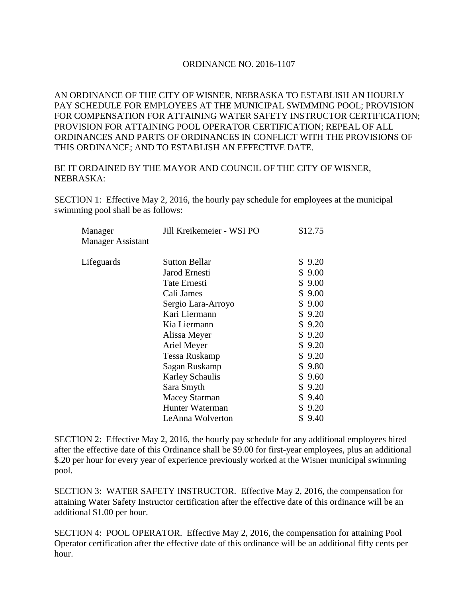## ORDINANCE NO. 2016-1107

AN ORDINANCE OF THE CITY OF WISNER, NEBRASKA TO ESTABLISH AN HOURLY PAY SCHEDULE FOR EMPLOYEES AT THE MUNICIPAL SWIMMING POOL; PROVISION FOR COMPENSATION FOR ATTAINING WATER SAFETY INSTRUCTOR CERTIFICATION; PROVISION FOR ATTAINING POOL OPERATOR CERTIFICATION; REPEAL OF ALL ORDINANCES AND PARTS OF ORDINANCES IN CONFLICT WITH THE PROVISIONS OF THIS ORDINANCE; AND TO ESTABLISH AN EFFECTIVE DATE.

## BE IT ORDAINED BY THE MAYOR AND COUNCIL OF THE CITY OF WISNER, NEBRASKA:

SECTION 1: Effective May 2, 2016, the hourly pay schedule for employees at the municipal swimming pool shall be as follows:

| Manager<br><b>Manager Assistant</b> | Jill Kreikemeier - WSI PO | \$12.75    |
|-------------------------------------|---------------------------|------------|
| Lifeguards                          | <b>Sutton Bellar</b>      | \$9.20     |
|                                     | Jarod Ernesti             | \$9.00     |
|                                     | Tate Ernesti              | \$9.00     |
|                                     | Cali James                | \$9.00     |
|                                     | Sergio Lara-Arroyo        | \$9.00     |
|                                     | Kari Liermann             | \$9.20     |
|                                     | Kia Liermann              | \$9.20     |
|                                     | Alissa Meyer              | \$9.20     |
|                                     | Ariel Meyer               | \$9.20     |
|                                     | Tessa Ruskamp             | \$9.20     |
|                                     | Sagan Ruskamp             | \$9.80     |
|                                     | <b>Karley Schaulis</b>    | \$9.60     |
|                                     | Sara Smyth                | \$9.20     |
|                                     | <b>Macey Starman</b>      | \$9.40     |
|                                     | Hunter Waterman           | \$9.20     |
|                                     | LeAnna Wolverton          | 9.40<br>\$ |
|                                     |                           |            |

SECTION 2: Effective May 2, 2016, the hourly pay schedule for any additional employees hired after the effective date of this Ordinance shall be \$9.00 for first-year employees, plus an additional \$.20 per hour for every year of experience previously worked at the Wisner municipal swimming pool.

SECTION 3: WATER SAFETY INSTRUCTOR. Effective May 2, 2016, the compensation for attaining Water Safety Instructor certification after the effective date of this ordinance will be an additional \$1.00 per hour.

SECTION 4: POOL OPERATOR. Effective May 2, 2016, the compensation for attaining Pool Operator certification after the effective date of this ordinance will be an additional fifty cents per hour.